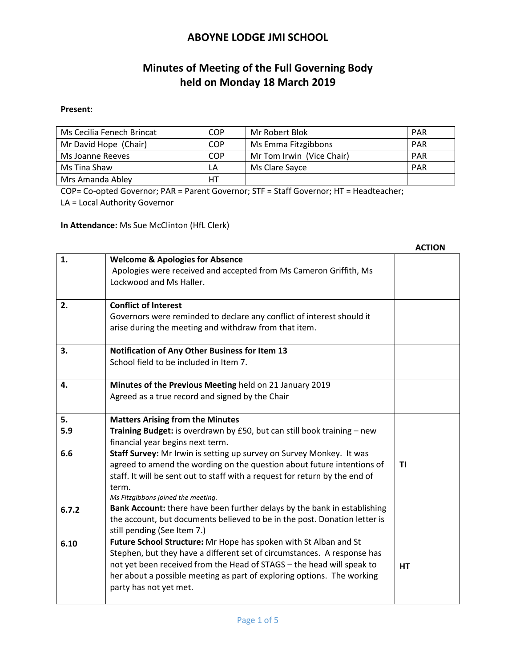# **Minutes of Meeting of the Full Governing Body held on Monday 18 March 2019**

#### **Present:**

| Ms Cecilia Fenech Brincat | COP        | Mr Robert Blok            | <b>PAR</b> |
|---------------------------|------------|---------------------------|------------|
| Mr David Hope (Chair)     | <b>COP</b> | Ms Emma Fitzgibbons       | <b>PAR</b> |
| Ms Joanne Reeves          | COP        | Mr Tom Irwin (Vice Chair) | <b>PAR</b> |
| Ms Tina Shaw              | LA         | Ms Clare Sayce            | <b>PAR</b> |
| Mrs Amanda Abley          | HT         |                           |            |

COP= Co-opted Governor; PAR = Parent Governor; STF = Staff Governor; HT = Headteacher; LA = Local Authority Governor

**In Attendance:** Ms Sue McClinton (HfL Clerk)

|           |                                                                                                                                                                                                                                                                                                                          | ALIIUN |
|-----------|--------------------------------------------------------------------------------------------------------------------------------------------------------------------------------------------------------------------------------------------------------------------------------------------------------------------------|--------|
| 1.        | <b>Welcome &amp; Apologies for Absence</b><br>Apologies were received and accepted from Ms Cameron Griffith, Ms<br>Lockwood and Ms Haller.                                                                                                                                                                               |        |
| 2.        | <b>Conflict of Interest</b><br>Governors were reminded to declare any conflict of interest should it<br>arise during the meeting and withdraw from that item.                                                                                                                                                            |        |
| 3.        | Notification of Any Other Business for Item 13<br>School field to be included in Item 7.                                                                                                                                                                                                                                 |        |
| 4.        | Minutes of the Previous Meeting held on 21 January 2019<br>Agreed as a true record and signed by the Chair                                                                                                                                                                                                               |        |
| 5.<br>5.9 | <b>Matters Arising from the Minutes</b><br>Training Budget: is overdrawn by £50, but can still book training - new<br>financial year begins next term.                                                                                                                                                                   |        |
| 6.6       | Staff Survey: Mr Irwin is setting up survey on Survey Monkey. It was<br>agreed to amend the wording on the question about future intentions of<br>staff. It will be sent out to staff with a request for return by the end of<br>term.<br>Ms Fitzgibbons joined the meeting.                                             | ΤI     |
| 6.7.2     | Bank Account: there have been further delays by the bank in establishing<br>the account, but documents believed to be in the post. Donation letter is<br>still pending (See Item 7.)                                                                                                                                     |        |
| 6.10      | Future School Structure: Mr Hope has spoken with St Alban and St<br>Stephen, but they have a different set of circumstances. A response has<br>not yet been received from the Head of STAGS - the head will speak to<br>her about a possible meeting as part of exploring options. The working<br>party has not yet met. | HT     |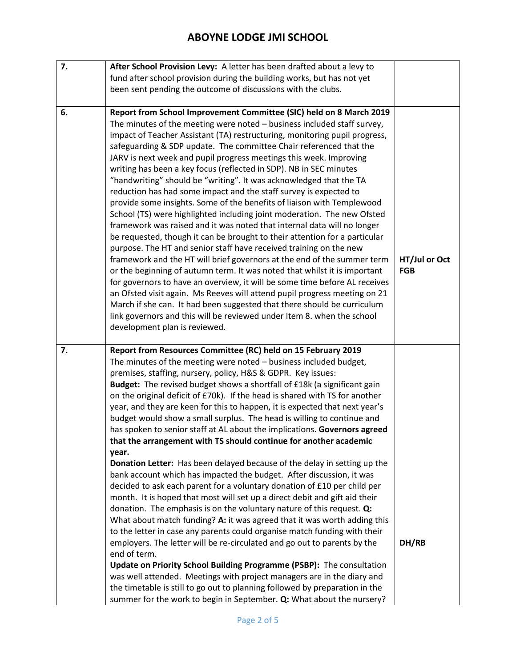| 7. | After School Provision Levy: A letter has been drafted about a levy to                                                                                  |               |
|----|---------------------------------------------------------------------------------------------------------------------------------------------------------|---------------|
|    | fund after school provision during the building works, but has not yet                                                                                  |               |
|    | been sent pending the outcome of discussions with the clubs.                                                                                            |               |
|    |                                                                                                                                                         |               |
| 6. | Report from School Improvement Committee (SIC) held on 8 March 2019                                                                                     |               |
|    | The minutes of the meeting were noted - business included staff survey,                                                                                 |               |
|    | impact of Teacher Assistant (TA) restructuring, monitoring pupil progress,                                                                              |               |
|    | safeguarding & SDP update. The committee Chair referenced that the                                                                                      |               |
|    | JARV is next week and pupil progress meetings this week. Improving                                                                                      |               |
|    | writing has been a key focus (reflected in SDP). NB in SEC minutes                                                                                      |               |
|    | "handwriting" should be "writing". It was acknowledged that the TA                                                                                      |               |
|    | reduction has had some impact and the staff survey is expected to                                                                                       |               |
|    | provide some insights. Some of the benefits of liaison with Templewood                                                                                  |               |
|    | School (TS) were highlighted including joint moderation. The new Ofsted                                                                                 |               |
|    | framework was raised and it was noted that internal data will no longer                                                                                 |               |
|    | be requested, though it can be brought to their attention for a particular                                                                              |               |
|    | purpose. The HT and senior staff have received training on the new                                                                                      |               |
|    | framework and the HT will brief governors at the end of the summer term                                                                                 | HT/Jul or Oct |
|    | or the beginning of autumn term. It was noted that whilst it is important                                                                               | <b>FGB</b>    |
|    | for governors to have an overview, it will be some time before AL receives                                                                              |               |
|    | an Ofsted visit again. Ms Reeves will attend pupil progress meeting on 21                                                                               |               |
|    | March if she can. It had been suggested that there should be curriculum                                                                                 |               |
|    | link governors and this will be reviewed under Item 8. when the school                                                                                  |               |
|    | development plan is reviewed.                                                                                                                           |               |
|    |                                                                                                                                                         |               |
|    |                                                                                                                                                         |               |
|    |                                                                                                                                                         |               |
| 7. | Report from Resources Committee (RC) held on 15 February 2019                                                                                           |               |
|    | The minutes of the meeting were noted - business included budget,                                                                                       |               |
|    | premises, staffing, nursery, policy, H&S & GDPR. Key issues:                                                                                            |               |
|    | Budget: The revised budget shows a shortfall of £18k (a significant gain<br>on the original deficit of £70k). If the head is shared with TS for another |               |
|    | year, and they are keen for this to happen, it is expected that next year's                                                                             |               |
|    | budget would show a small surplus. The head is willing to continue and                                                                                  |               |
|    | has spoken to senior staff at AL about the implications. Governors agreed                                                                               |               |
|    | that the arrangement with TS should continue for another academic                                                                                       |               |
|    | year.                                                                                                                                                   |               |
|    | Donation Letter: Has been delayed because of the delay in setting up the                                                                                |               |
|    | bank account which has impacted the budget. After discussion, it was                                                                                    |               |
|    | decided to ask each parent for a voluntary donation of £10 per child per                                                                                |               |
|    | month. It is hoped that most will set up a direct debit and gift aid their                                                                              |               |
|    | donation. The emphasis is on the voluntary nature of this request. Q:                                                                                   |               |
|    | What about match funding? A: it was agreed that it was worth adding this                                                                                |               |
|    | to the letter in case any parents could organise match funding with their                                                                               |               |
|    | employers. The letter will be re-circulated and go out to parents by the                                                                                | DH/RB         |
|    | end of term.                                                                                                                                            |               |
|    | Update on Priority School Building Programme (PSBP): The consultation                                                                                   |               |
|    | was well attended. Meetings with project managers are in the diary and                                                                                  |               |
|    | the timetable is still to go out to planning followed by preparation in the                                                                             |               |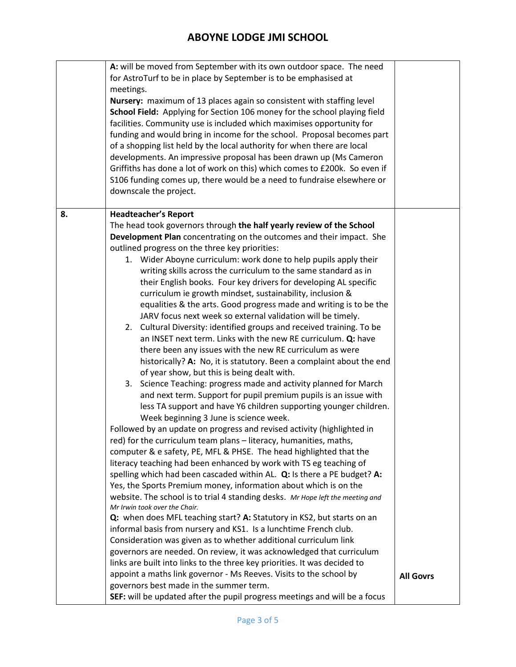|    | A: will be moved from September with its own outdoor space. The need<br>for AstroTurf to be in place by September is to be emphasised at<br>meetings.<br>Nursery: maximum of 13 places again so consistent with staffing level<br>School Field: Applying for Section 106 money for the school playing field<br>facilities. Community use is included which maximises opportunity for<br>funding and would bring in income for the school. Proposal becomes part<br>of a shopping list held by the local authority for when there are local<br>developments. An impressive proposal has been drawn up (Ms Cameron<br>Griffiths has done a lot of work on this) which comes to £200k. So even if<br>S106 funding comes up, there would be a need to fundraise elsewhere or<br>downscale the project. |                  |
|----|----------------------------------------------------------------------------------------------------------------------------------------------------------------------------------------------------------------------------------------------------------------------------------------------------------------------------------------------------------------------------------------------------------------------------------------------------------------------------------------------------------------------------------------------------------------------------------------------------------------------------------------------------------------------------------------------------------------------------------------------------------------------------------------------------|------------------|
| 8. | <b>Headteacher's Report</b><br>The head took governors through the half yearly review of the School<br>Development Plan concentrating on the outcomes and their impact. She                                                                                                                                                                                                                                                                                                                                                                                                                                                                                                                                                                                                                        |                  |
|    | outlined progress on the three key priorities:                                                                                                                                                                                                                                                                                                                                                                                                                                                                                                                                                                                                                                                                                                                                                     |                  |
|    | 1. Wider Aboyne curriculum: work done to help pupils apply their                                                                                                                                                                                                                                                                                                                                                                                                                                                                                                                                                                                                                                                                                                                                   |                  |
|    | writing skills across the curriculum to the same standard as in                                                                                                                                                                                                                                                                                                                                                                                                                                                                                                                                                                                                                                                                                                                                    |                  |
|    | their English books. Four key drivers for developing AL specific<br>curriculum ie growth mindset, sustainability, inclusion &                                                                                                                                                                                                                                                                                                                                                                                                                                                                                                                                                                                                                                                                      |                  |
|    | equalities & the arts. Good progress made and writing is to be the                                                                                                                                                                                                                                                                                                                                                                                                                                                                                                                                                                                                                                                                                                                                 |                  |
|    | JARV focus next week so external validation will be timely.                                                                                                                                                                                                                                                                                                                                                                                                                                                                                                                                                                                                                                                                                                                                        |                  |
|    | 2. Cultural Diversity: identified groups and received training. To be                                                                                                                                                                                                                                                                                                                                                                                                                                                                                                                                                                                                                                                                                                                              |                  |
|    | an INSET next term. Links with the new RE curriculum. Q: have                                                                                                                                                                                                                                                                                                                                                                                                                                                                                                                                                                                                                                                                                                                                      |                  |
|    | there been any issues with the new RE curriculum as were                                                                                                                                                                                                                                                                                                                                                                                                                                                                                                                                                                                                                                                                                                                                           |                  |
|    | historically? A: No, it is statutory. Been a complaint about the end<br>of year show, but this is being dealt with.                                                                                                                                                                                                                                                                                                                                                                                                                                                                                                                                                                                                                                                                                |                  |
|    | 3. Science Teaching: progress made and activity planned for March                                                                                                                                                                                                                                                                                                                                                                                                                                                                                                                                                                                                                                                                                                                                  |                  |
|    | and next term. Support for pupil premium pupils is an issue with                                                                                                                                                                                                                                                                                                                                                                                                                                                                                                                                                                                                                                                                                                                                   |                  |
|    | less TA support and have Y6 children supporting younger children.                                                                                                                                                                                                                                                                                                                                                                                                                                                                                                                                                                                                                                                                                                                                  |                  |
|    | Week beginning 3 June is science week.                                                                                                                                                                                                                                                                                                                                                                                                                                                                                                                                                                                                                                                                                                                                                             |                  |
|    | Followed by an update on progress and revised activity (highlighted in                                                                                                                                                                                                                                                                                                                                                                                                                                                                                                                                                                                                                                                                                                                             |                  |
|    | red) for the curriculum team plans - literacy, humanities, maths,                                                                                                                                                                                                                                                                                                                                                                                                                                                                                                                                                                                                                                                                                                                                  |                  |
|    | computer & e safety, PE, MFL & PHSE. The head highlighted that the                                                                                                                                                                                                                                                                                                                                                                                                                                                                                                                                                                                                                                                                                                                                 |                  |
|    | literacy teaching had been enhanced by work with TS eg teaching of<br>spelling which had been cascaded within AL. Q: Is there a PE budget? A:                                                                                                                                                                                                                                                                                                                                                                                                                                                                                                                                                                                                                                                      |                  |
|    | Yes, the Sports Premium money, information about which is on the                                                                                                                                                                                                                                                                                                                                                                                                                                                                                                                                                                                                                                                                                                                                   |                  |
|    | website. The school is to trial 4 standing desks. Mr Hope left the meeting and                                                                                                                                                                                                                                                                                                                                                                                                                                                                                                                                                                                                                                                                                                                     |                  |
|    | Mr Irwin took over the Chair.                                                                                                                                                                                                                                                                                                                                                                                                                                                                                                                                                                                                                                                                                                                                                                      |                  |
|    | Q: when does MFL teaching start? A: Statutory in KS2, but starts on an                                                                                                                                                                                                                                                                                                                                                                                                                                                                                                                                                                                                                                                                                                                             |                  |
|    | informal basis from nursery and KS1. Is a lunchtime French club.<br>Consideration was given as to whether additional curriculum link                                                                                                                                                                                                                                                                                                                                                                                                                                                                                                                                                                                                                                                               |                  |
|    | governors are needed. On review, it was acknowledged that curriculum                                                                                                                                                                                                                                                                                                                                                                                                                                                                                                                                                                                                                                                                                                                               |                  |
|    | links are built into links to the three key priorities. It was decided to                                                                                                                                                                                                                                                                                                                                                                                                                                                                                                                                                                                                                                                                                                                          |                  |
|    | appoint a maths link governor - Ms Reeves. Visits to the school by                                                                                                                                                                                                                                                                                                                                                                                                                                                                                                                                                                                                                                                                                                                                 | <b>All Govrs</b> |
|    | governors best made in the summer term.                                                                                                                                                                                                                                                                                                                                                                                                                                                                                                                                                                                                                                                                                                                                                            |                  |
|    | SEF: will be updated after the pupil progress meetings and will be a focus                                                                                                                                                                                                                                                                                                                                                                                                                                                                                                                                                                                                                                                                                                                         |                  |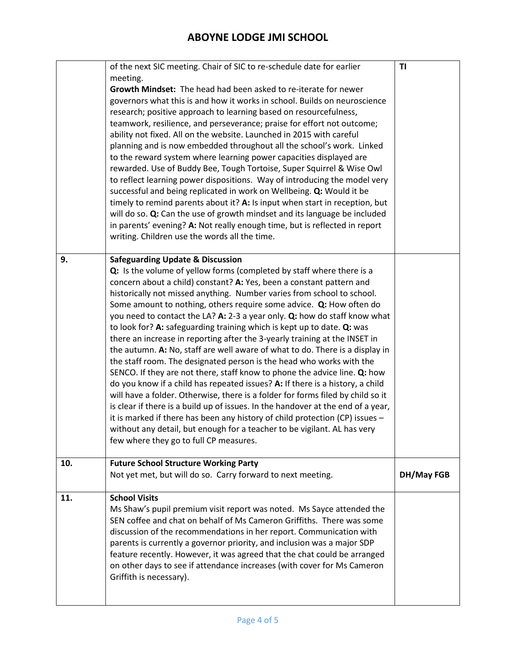|     | of the next SIC meeting. Chair of SIC to re-schedule date for earlier<br>meeting.<br>Growth Mindset: The head had been asked to re-iterate for newer<br>governors what this is and how it works in school. Builds on neuroscience<br>research; positive approach to learning based on resourcefulness,<br>teamwork, resilience, and perseverance; praise for effort not outcome;<br>ability not fixed. All on the website. Launched in 2015 with careful<br>planning and is now embedded throughout all the school's work. Linked<br>to the reward system where learning power capacities displayed are<br>rewarded. Use of Buddy Bee, Tough Tortoise, Super Squirrel & Wise Owl<br>to reflect learning power dispositions. Way of introducing the model very<br>successful and being replicated in work on Wellbeing. Q: Would it be<br>timely to remind parents about it? A: Is input when start in reception, but<br>will do so. Q: Can the use of growth mindset and its language be included<br>in parents' evening? A: Not really enough time, but is reflected in report<br>writing. Children use the words all the time.                                                                                                                                                      | T1         |
|-----|---------------------------------------------------------------------------------------------------------------------------------------------------------------------------------------------------------------------------------------------------------------------------------------------------------------------------------------------------------------------------------------------------------------------------------------------------------------------------------------------------------------------------------------------------------------------------------------------------------------------------------------------------------------------------------------------------------------------------------------------------------------------------------------------------------------------------------------------------------------------------------------------------------------------------------------------------------------------------------------------------------------------------------------------------------------------------------------------------------------------------------------------------------------------------------------------------------------------------------------------------------------------------------------|------------|
| 9.  | <b>Safeguarding Update &amp; Discussion</b><br>Q: Is the volume of yellow forms (completed by staff where there is a<br>concern about a child) constant? A: Yes, been a constant pattern and<br>historically not missed anything. Number varies from school to school.<br>Some amount to nothing, others require some advice. Q: How often do<br>you need to contact the LA? A: 2-3 a year only. Q: how do staff know what<br>to look for? A: safeguarding training which is kept up to date. Q: was<br>there an increase in reporting after the 3-yearly training at the INSET in<br>the autumn. A: No, staff are well aware of what to do. There is a display in<br>the staff room. The designated person is the head who works with the<br>SENCO. If they are not there, staff know to phone the advice line. Q: how<br>do you know if a child has repeated issues? A: If there is a history, a child<br>will have a folder. Otherwise, there is a folder for forms filed by child so it<br>is clear if there is a build up of issues. In the handover at the end of a year,<br>it is marked if there has been any history of child protection (CP) issues -<br>without any detail, but enough for a teacher to be vigilant. AL has very<br>few where they go to full CP measures. |            |
| 10. | <b>Future School Structure Working Party</b><br>Not yet met, but will do so. Carry forward to next meeting.                                                                                                                                                                                                                                                                                                                                                                                                                                                                                                                                                                                                                                                                                                                                                                                                                                                                                                                                                                                                                                                                                                                                                                           | DH/May FGB |
| 11. | <b>School Visits</b><br>Ms Shaw's pupil premium visit report was noted. Ms Sayce attended the<br>SEN coffee and chat on behalf of Ms Cameron Griffiths. There was some<br>discussion of the recommendations in her report. Communication with<br>parents is currently a governor priority, and inclusion was a major SDP<br>feature recently. However, it was agreed that the chat could be arranged<br>on other days to see if attendance increases (with cover for Ms Cameron<br>Griffith is necessary).                                                                                                                                                                                                                                                                                                                                                                                                                                                                                                                                                                                                                                                                                                                                                                            |            |